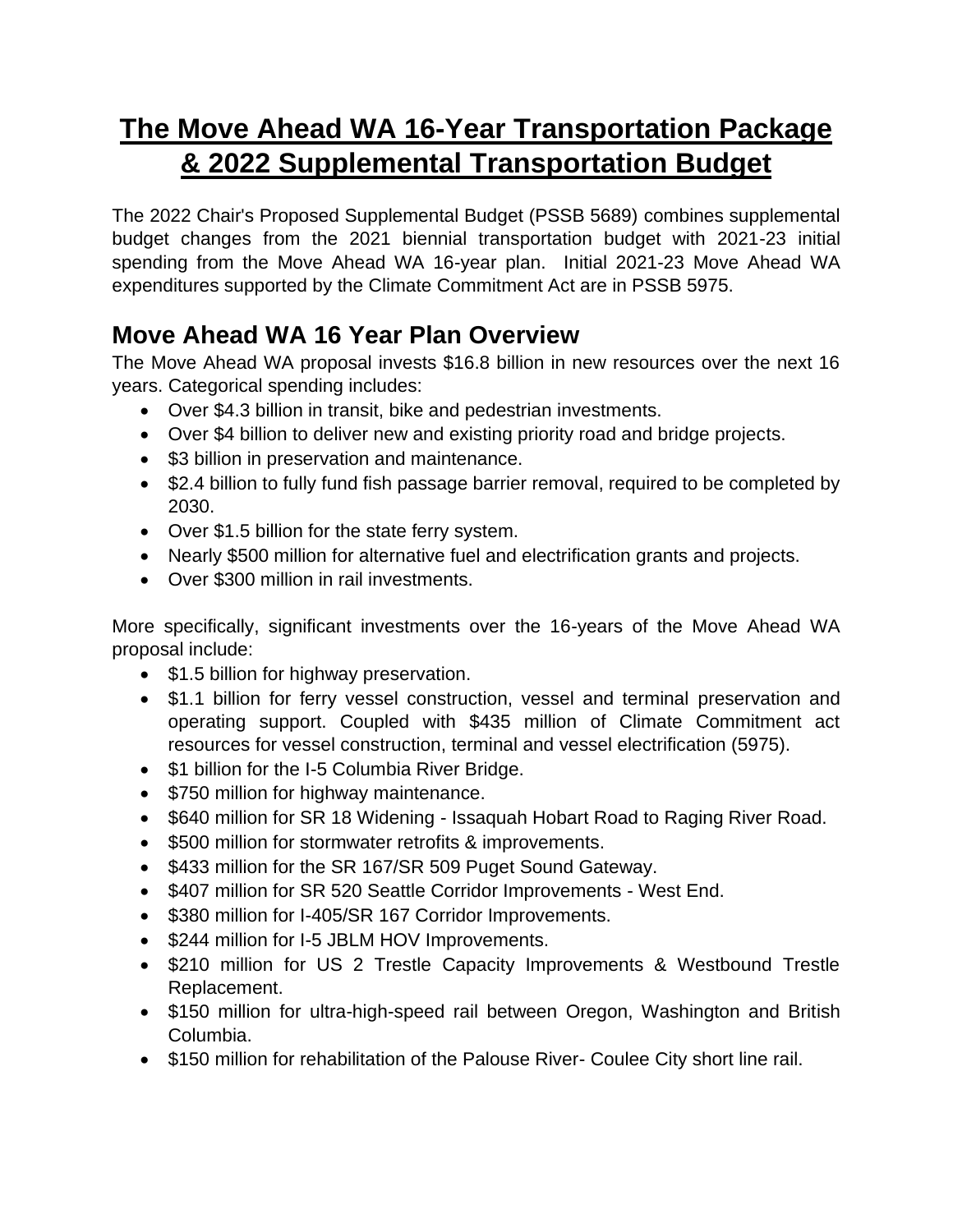# **The Move Ahead WA 16-Year Transportation Package & 2022 Supplemental Transportation Budget**

The 2022 Chair's Proposed Supplemental Budget (PSSB 5689) combines supplemental budget changes from the 2021 biennial transportation budget with 2021-23 initial spending from the Move Ahead WA 16-year plan. Initial 2021-23 Move Ahead WA expenditures supported by the Climate Commitment Act are in PSSB 5975.

# **Move Ahead WA 16 Year Plan Overview**

The Move Ahead WA proposal invests \$16.8 billion in new resources over the next 16 years. Categorical spending includes:

- Over \$4.3 billion in transit, bike and pedestrian investments.
- Over \$4 billion to deliver new and existing priority road and bridge projects.
- \$3 billion in preservation and maintenance.
- \$2.4 billion to fully fund fish passage barrier removal, required to be completed by 2030.
- Over \$1.5 billion for the state ferry system.
- Nearly \$500 million for alternative fuel and electrification grants and projects.
- Over \$300 million in rail investments.

More specifically, significant investments over the 16-years of the Move Ahead WA proposal include:

- \$1.5 billion for highway preservation.
- \$1.1 billion for ferry vessel construction, vessel and terminal preservation and operating support. Coupled with \$435 million of Climate Commitment act resources for vessel construction, terminal and vessel electrification (5975).
- \$1 billion for the I-5 Columbia River Bridge.
- \$750 million for highway maintenance.
- \$640 million for SR 18 Widening Issaquah Hobart Road to Raging River Road.
- \$500 million for stormwater retrofits & improvements.
- \$433 million for the SR 167/SR 509 Puget Sound Gateway.
- \$407 million for SR 520 Seattle Corridor Improvements West End.
- \$380 million for I-405/SR 167 Corridor Improvements.
- \$244 million for I-5 JBLM HOV Improvements.
- \$210 million for US 2 Trestle Capacity Improvements & Westbound Trestle Replacement.
- \$150 million for ultra-high-speed rail between Oregon, Washington and British Columbia.
- \$150 million for rehabilitation of the Palouse River- Coulee City short line rail.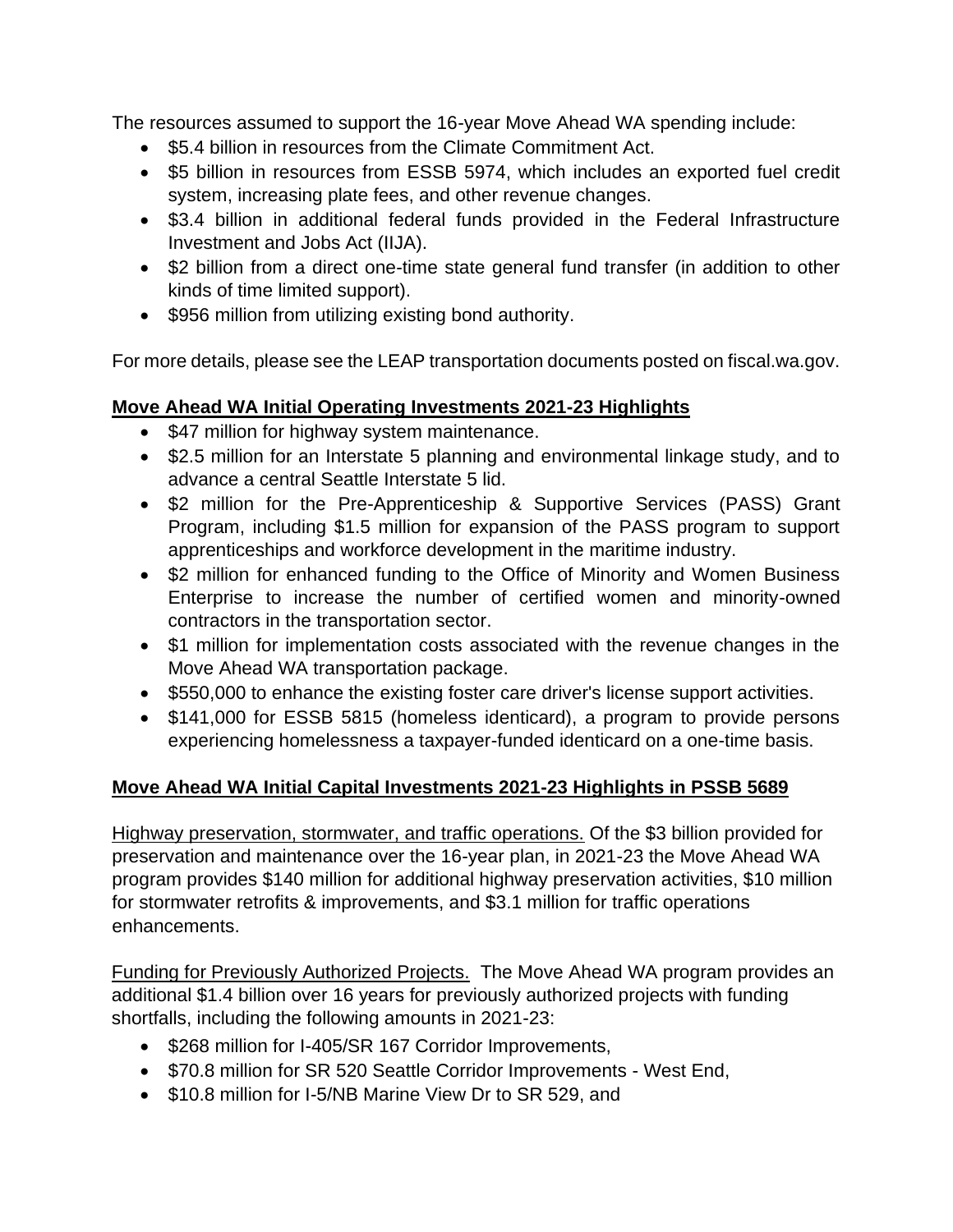The resources assumed to support the 16-year Move Ahead WA spending include:

- \$5.4 billion in resources from the Climate Commitment Act.
- \$5 billion in resources from ESSB 5974, which includes an exported fuel credit system, increasing plate fees, and other revenue changes.
- \$3.4 billion in additional federal funds provided in the Federal Infrastructure Investment and Jobs Act (IIJA).
- \$2 billion from a direct one-time state general fund transfer (in addition to other kinds of time limited support).
- \$956 million from utilizing existing bond authority.

For more details, please see the LEAP transportation documents posted on fiscal.wa.gov.

#### **Move Ahead WA Initial Operating Investments 2021-23 Highlights**

- \$47 million for highway system maintenance.
- \$2.5 million for an Interstate 5 planning and environmental linkage study, and to advance a central Seattle Interstate 5 lid.
- \$2 million for the Pre-Apprenticeship & Supportive Services (PASS) Grant Program, including \$1.5 million for expansion of the PASS program to support apprenticeships and workforce development in the maritime industry.
- \$2 million for enhanced funding to the Office of Minority and Women Business Enterprise to increase the number of certified women and minority-owned contractors in the transportation sector.
- \$1 million for implementation costs associated with the revenue changes in the Move Ahead WA transportation package.
- \$550,000 to enhance the existing foster care driver's license support activities.
- \$141,000 for ESSB 5815 (homeless identicard), a program to provide persons experiencing homelessness a taxpayer-funded identicard on a one-time basis.

#### **Move Ahead WA Initial Capital Investments 2021-23 Highlights in PSSB 5689**

Highway preservation, stormwater, and traffic operations. Of the \$3 billion provided for preservation and maintenance over the 16-year plan, in 2021-23 the Move Ahead WA program provides \$140 million for additional highway preservation activities, \$10 million for stormwater retrofits & improvements, and \$3.1 million for traffic operations enhancements.

Funding for Previously Authorized Projects. The Move Ahead WA program provides an additional \$1.4 billion over 16 years for previously authorized projects with funding shortfalls, including the following amounts in 2021-23:

- \$268 million for I-405/SR 167 Corridor Improvements,
- \$70.8 million for SR 520 Seattle Corridor Improvements West End,
- \$10.8 million for I-5/NB Marine View Dr to SR 529, and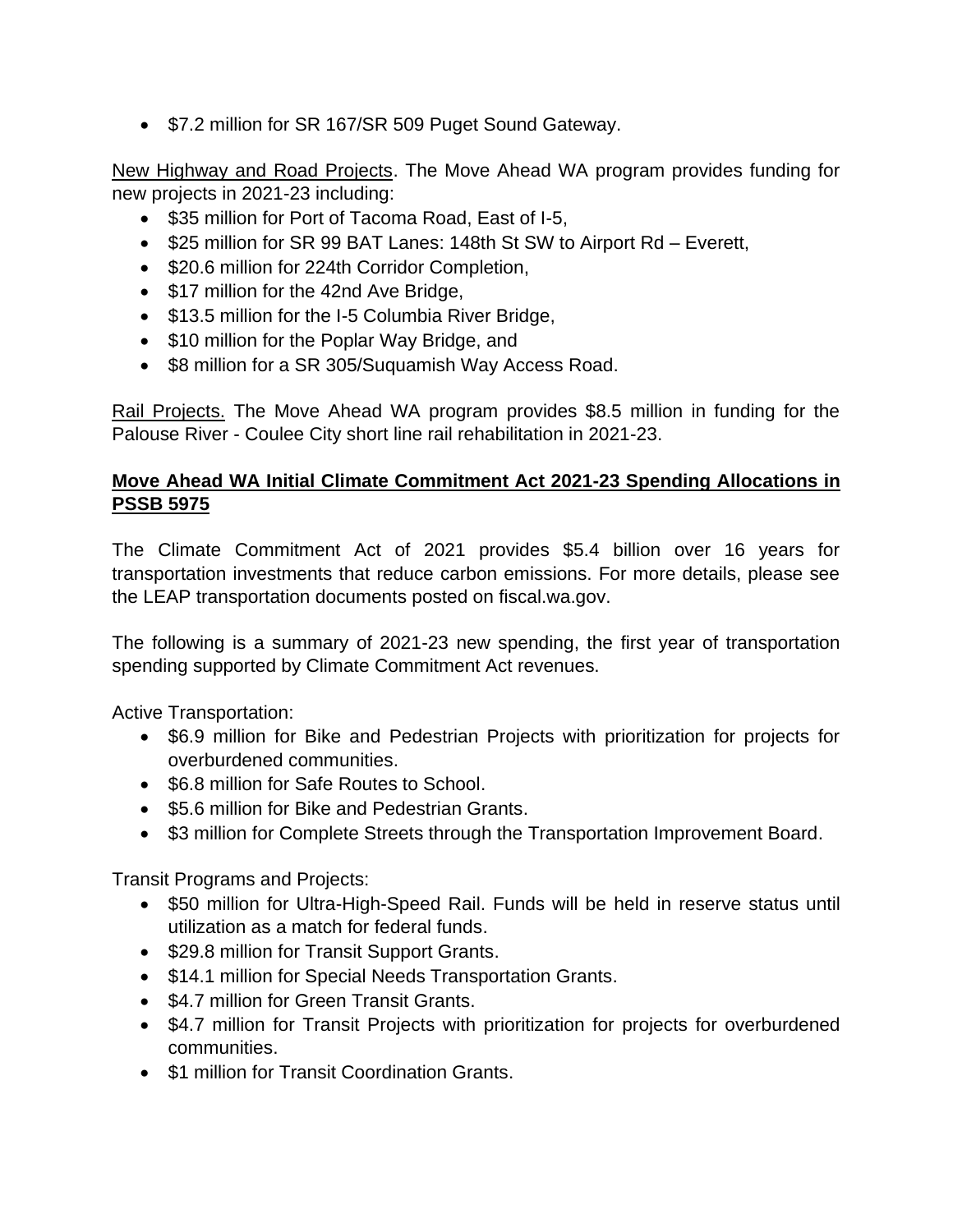• \$7.2 million for SR 167/SR 509 Puget Sound Gateway.

New Highway and Road Projects. The Move Ahead WA program provides funding for new projects in 2021-23 including:

- \$35 million for Port of Tacoma Road, East of I-5,
- \$25 million for SR 99 BAT Lanes: 148th St SW to Airport Rd Everett,
- \$20.6 million for 224th Corridor Completion,
- \$17 million for the 42nd Ave Bridge,
- \$13.5 million for the I-5 Columbia River Bridge,
- \$10 million for the Poplar Way Bridge, and
- \$8 million for a SR 305/Suquamish Way Access Road.

Rail Projects. The Move Ahead WA program provides \$8.5 million in funding for the Palouse River - Coulee City short line rail rehabilitation in 2021-23.

#### **Move Ahead WA Initial Climate Commitment Act 2021-23 Spending Allocations in PSSB 5975**

The Climate Commitment Act of 2021 provides \$5.4 billion over 16 years for transportation investments that reduce carbon emissions. For more details, please see the LEAP transportation documents posted on fiscal.wa.gov.

The following is a summary of 2021-23 new spending, the first year of transportation spending supported by Climate Commitment Act revenues.

Active Transportation:

- \$6.9 million for Bike and Pedestrian Projects with prioritization for projects for overburdened communities.
- \$6.8 million for Safe Routes to School.
- \$5.6 million for Bike and Pedestrian Grants.
- \$3 million for Complete Streets through the Transportation Improvement Board.

Transit Programs and Projects:

- \$50 million for Ultra-High-Speed Rail. Funds will be held in reserve status until utilization as a match for federal funds.
- \$29.8 million for Transit Support Grants.
- \$14.1 million for Special Needs Transportation Grants.
- \$4.7 million for Green Transit Grants.
- \$4.7 million for Transit Projects with prioritization for projects for overburdened communities.
- \$1 million for Transit Coordination Grants.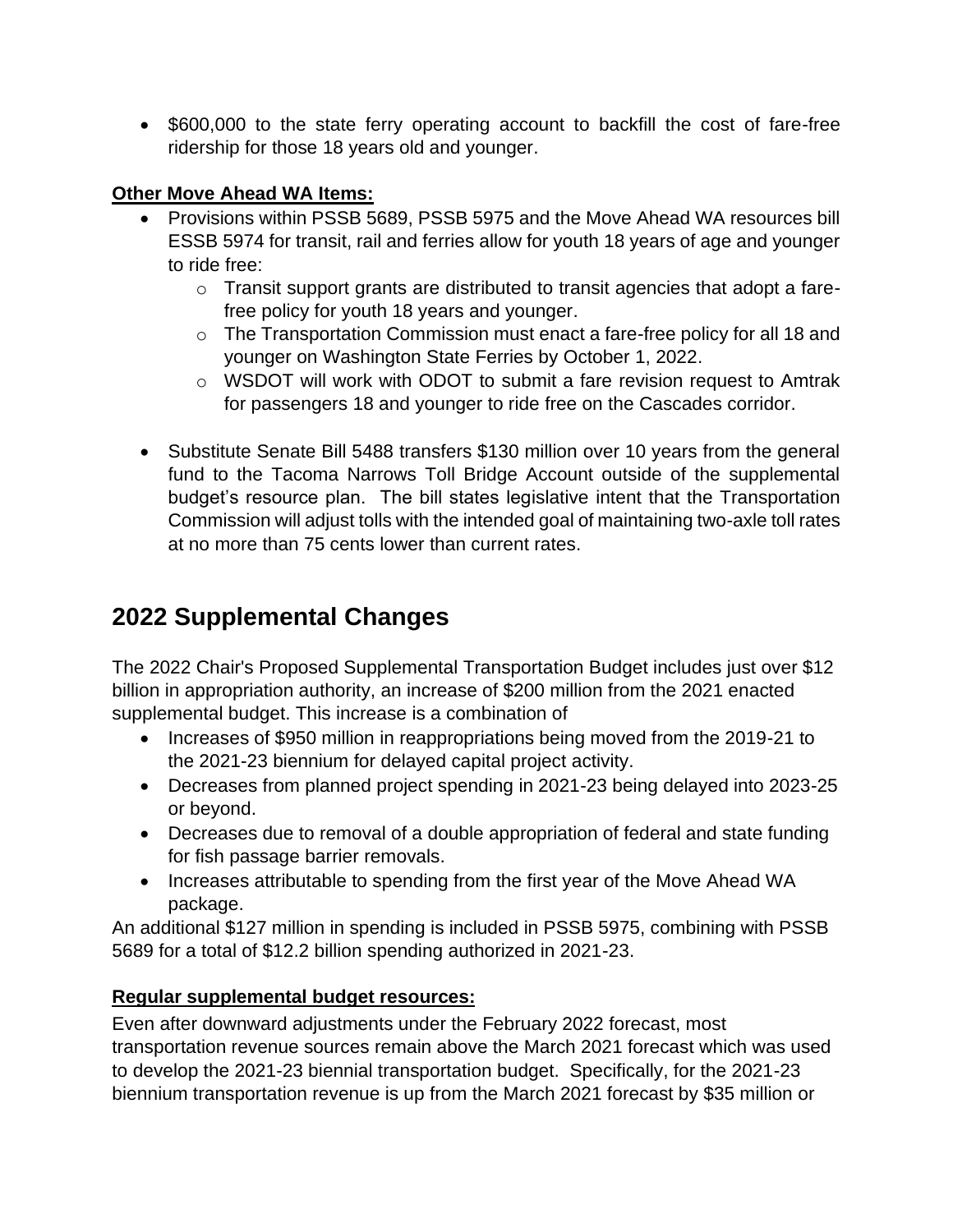• \$600,000 to the state ferry operating account to backfill the cost of fare-free ridership for those 18 years old and younger.

#### **Other Move Ahead WA Items:**

- Provisions within PSSB 5689, PSSB 5975 and the Move Ahead WA resources bill ESSB 5974 for transit, rail and ferries allow for youth 18 years of age and younger to ride free:
	- o Transit support grants are distributed to transit agencies that adopt a farefree policy for youth 18 years and younger.
	- o The Transportation Commission must enact a fare-free policy for all 18 and younger on Washington State Ferries by October 1, 2022.
	- o WSDOT will work with ODOT to submit a fare revision request to Amtrak for passengers 18 and younger to ride free on the Cascades corridor.
- Substitute Senate Bill 5488 transfers \$130 million over 10 years from the general fund to the Tacoma Narrows Toll Bridge Account outside of the supplemental budget's resource plan. The bill states legislative intent that the Transportation Commission will adjust tolls with the intended goal of maintaining two-axle toll rates at no more than 75 cents lower than current rates.

# **2022 Supplemental Changes**

The 2022 Chair's Proposed Supplemental Transportation Budget includes just over \$12 billion in appropriation authority, an increase of \$200 million from the 2021 enacted supplemental budget. This increase is a combination of

- Increases of \$950 million in reappropriations being moved from the 2019-21 to the 2021-23 biennium for delayed capital project activity.
- Decreases from planned project spending in 2021-23 being delayed into 2023-25 or beyond.
- Decreases due to removal of a double appropriation of federal and state funding for fish passage barrier removals.
- Increases attributable to spending from the first year of the Move Ahead WA package.

An additional \$127 million in spending is included in PSSB 5975, combining with PSSB 5689 for a total of \$12.2 billion spending authorized in 2021-23.

#### **Regular supplemental budget resources:**

Even after downward adjustments under the February 2022 forecast, most transportation revenue sources remain above the March 2021 forecast which was used to develop the 2021-23 biennial transportation budget. Specifically, for the 2021-23 biennium transportation revenue is up from the March 2021 forecast by \$35 million or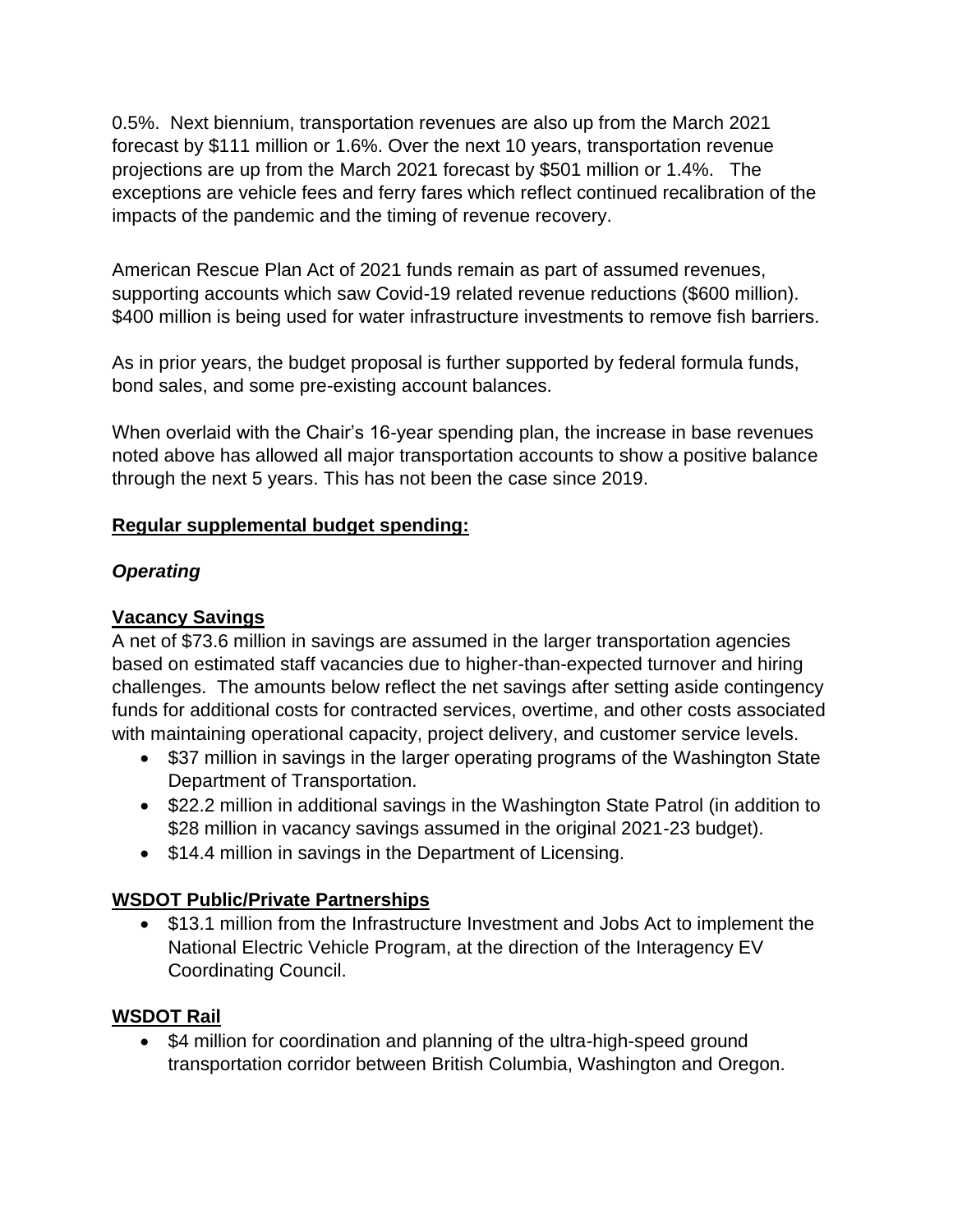0.5%. Next biennium, transportation revenues are also up from the March 2021 forecast by \$111 million or 1.6%. Over the next 10 years, transportation revenue projections are up from the March 2021 forecast by \$501 million or 1.4%. The exceptions are vehicle fees and ferry fares which reflect continued recalibration of the impacts of the pandemic and the timing of revenue recovery.

American Rescue Plan Act of 2021 funds remain as part of assumed revenues, supporting accounts which saw Covid-19 related revenue reductions (\$600 million). \$400 million is being used for water infrastructure investments to remove fish barriers.

As in prior years, the budget proposal is further supported by federal formula funds, bond sales, and some pre-existing account balances.

When overlaid with the Chair's 16-year spending plan, the increase in base revenues noted above has allowed all major transportation accounts to show a positive balance through the next 5 years. This has not been the case since 2019.

#### **Regular supplemental budget spending:**

#### *Operating*

#### **Vacancy Savings**

A net of \$73.6 million in savings are assumed in the larger transportation agencies based on estimated staff vacancies due to higher-than-expected turnover and hiring challenges. The amounts below reflect the net savings after setting aside contingency funds for additional costs for contracted services, overtime, and other costs associated with maintaining operational capacity, project delivery, and customer service levels.

- \$37 million in savings in the larger operating programs of the Washington State Department of Transportation.
- \$22.2 million in additional savings in the Washington State Patrol (in addition to \$28 million in vacancy savings assumed in the original 2021-23 budget).
- \$14.4 million in savings in the Department of Licensing.

#### **WSDOT Public/Private Partnerships**

• \$13.1 million from the Infrastructure Investment and Jobs Act to implement the National Electric Vehicle Program, at the direction of the Interagency EV Coordinating Council.

#### **WSDOT Rail**

• \$4 million for coordination and planning of the ultra-high-speed ground transportation corridor between British Columbia, Washington and Oregon.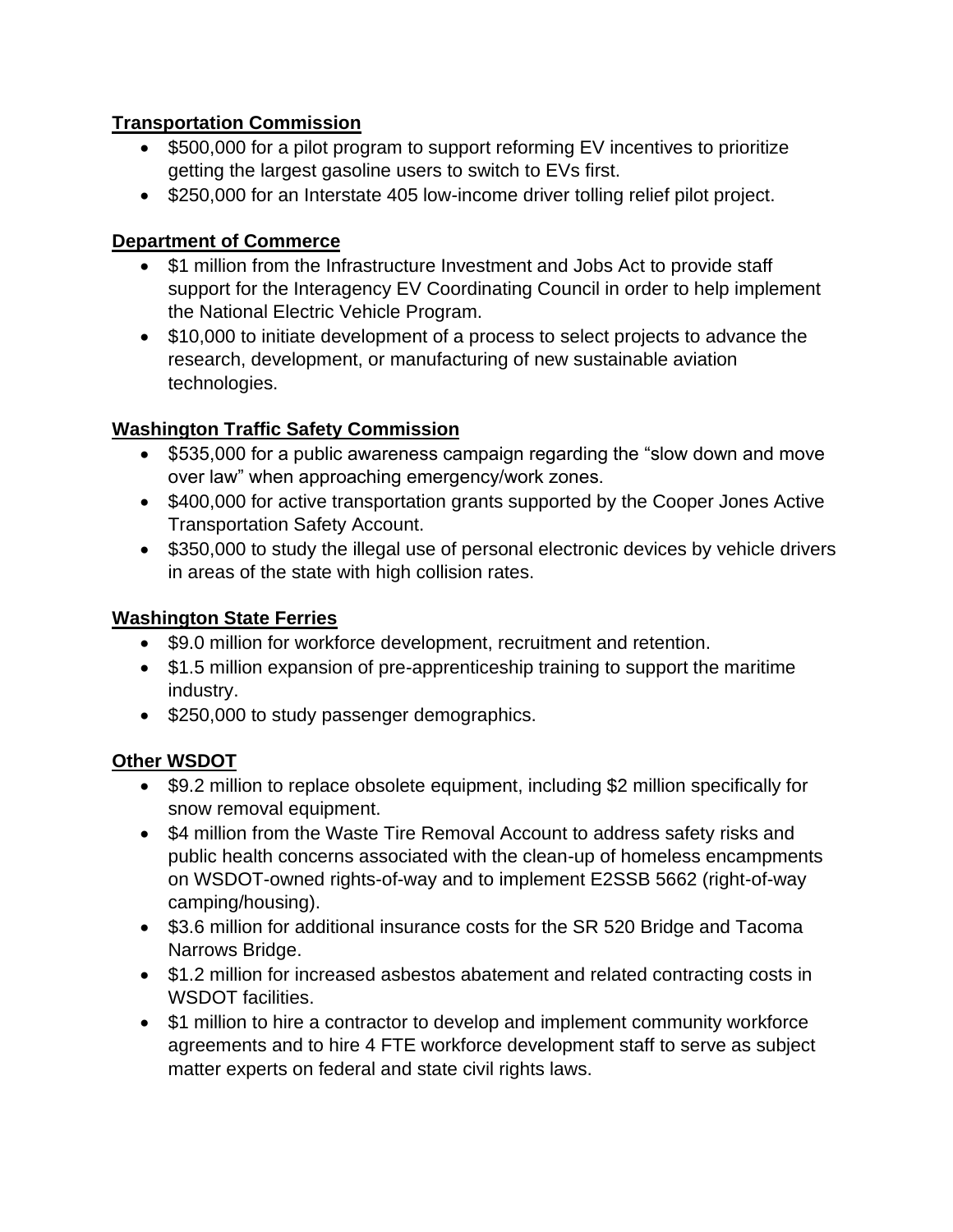#### **Transportation Commission**

- \$500,000 for a pilot program to support reforming EV incentives to prioritize getting the largest gasoline users to switch to EVs first.
- \$250,000 for an Interstate 405 low-income driver tolling relief pilot project.

#### **Department of Commerce**

- \$1 million from the Infrastructure Investment and Jobs Act to provide staff support for the Interagency EV Coordinating Council in order to help implement the National Electric Vehicle Program.
- \$10,000 to initiate development of a process to select projects to advance the research, development, or manufacturing of new sustainable aviation technologies.

#### **Washington Traffic Safety Commission**

- \$535,000 for a public awareness campaign regarding the "slow down and move over law" when approaching emergency/work zones.
- \$400,000 for active transportation grants supported by the Cooper Jones Active Transportation Safety Account.
- \$350,000 to study the illegal use of personal electronic devices by vehicle drivers in areas of the state with high collision rates.

#### **Washington State Ferries**

- \$9.0 million for workforce development, recruitment and retention.
- \$1.5 million expansion of pre-apprenticeship training to support the maritime industry.
- \$250,000 to study passenger demographics.

#### **Other WSDOT**

- \$9.2 million to replace obsolete equipment, including \$2 million specifically for snow removal equipment.
- \$4 million from the Waste Tire Removal Account to address safety risks and public health concerns associated with the clean-up of homeless encampments on WSDOT-owned rights-of-way and to implement E2SSB 5662 (right-of-way camping/housing).
- \$3.6 million for additional insurance costs for the SR 520 Bridge and Tacoma Narrows Bridge.
- \$1.2 million for increased asbestos abatement and related contracting costs in WSDOT facilities.
- \$1 million to hire a contractor to develop and implement community workforce agreements and to hire 4 FTE workforce development staff to serve as subject matter experts on federal and state civil rights laws.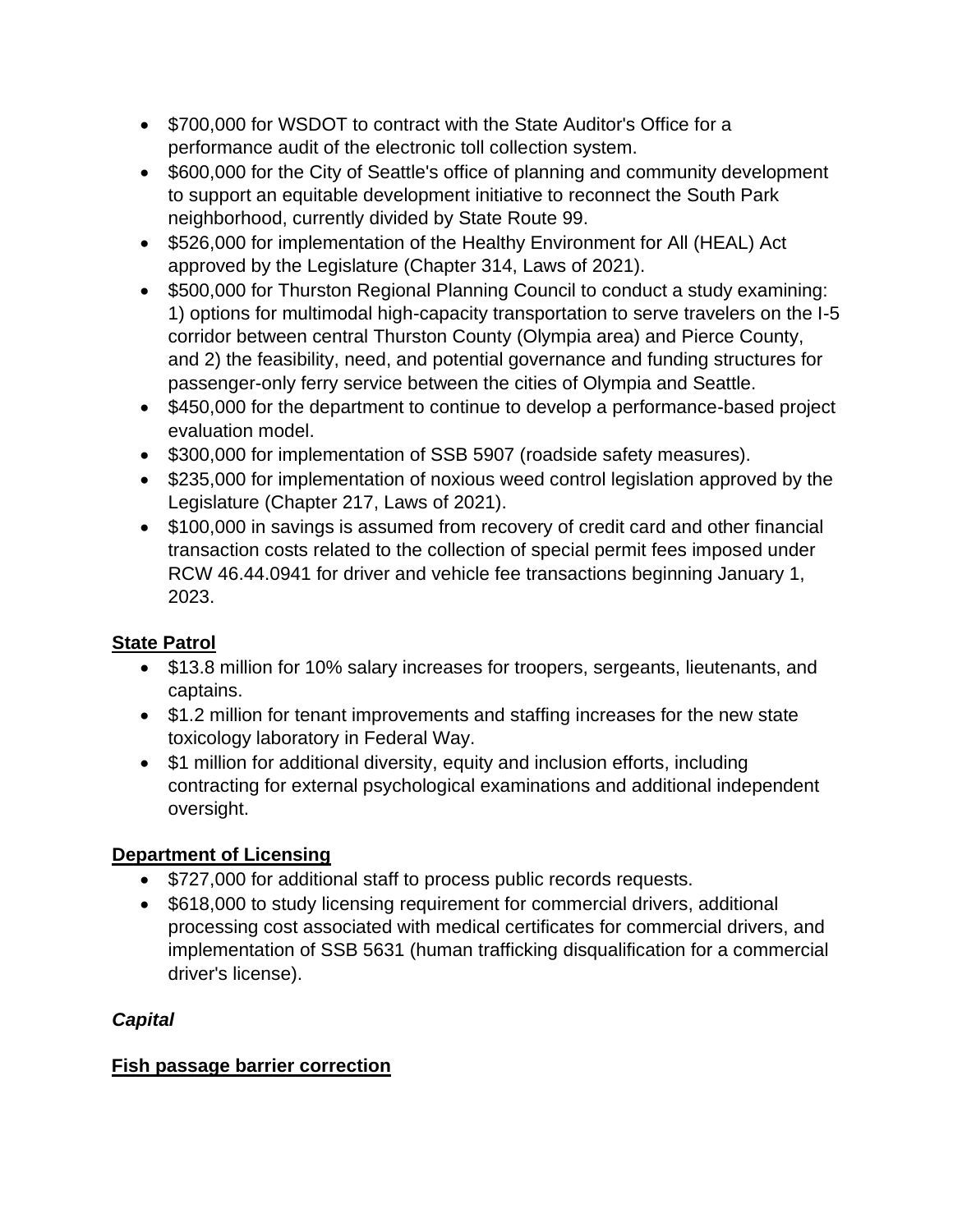- \$700,000 for WSDOT to contract with the State Auditor's Office for a performance audit of the electronic toll collection system.
- \$600,000 for the City of Seattle's office of planning and community development to support an equitable development initiative to reconnect the South Park neighborhood, currently divided by State Route 99.
- \$526,000 for implementation of the Healthy Environment for All (HEAL) Act approved by the Legislature (Chapter 314, Laws of 2021).
- \$500,000 for Thurston Regional Planning Council to conduct a study examining: 1) options for multimodal high-capacity transportation to serve travelers on the I-5 corridor between central Thurston County (Olympia area) and Pierce County, and 2) the feasibility, need, and potential governance and funding structures for passenger-only ferry service between the cities of Olympia and Seattle.
- \$450,000 for the department to continue to develop a performance-based project evaluation model.
- \$300,000 for implementation of SSB 5907 (roadside safety measures).
- \$235,000 for implementation of noxious weed control legislation approved by the Legislature (Chapter 217, Laws of 2021).
- \$100,000 in savings is assumed from recovery of credit card and other financial transaction costs related to the collection of special permit fees imposed under RCW 46.44.0941 for driver and vehicle fee transactions beginning January 1, 2023.

## **State Patrol**

- \$13.8 million for 10% salary increases for troopers, sergeants, lieutenants, and captains.
- \$1.2 million for tenant improvements and staffing increases for the new state toxicology laboratory in Federal Way.
- \$1 million for additional diversity, equity and inclusion efforts, including contracting for external psychological examinations and additional independent oversight.

#### **Department of Licensing**

- \$727,000 for additional staff to process public records requests.
- \$618,000 to study licensing requirement for commercial drivers, additional processing cost associated with medical certificates for commercial drivers, and implementation of SSB 5631 (human trafficking disqualification for a commercial driver's license).

## *Capital*

#### **Fish passage barrier correction**